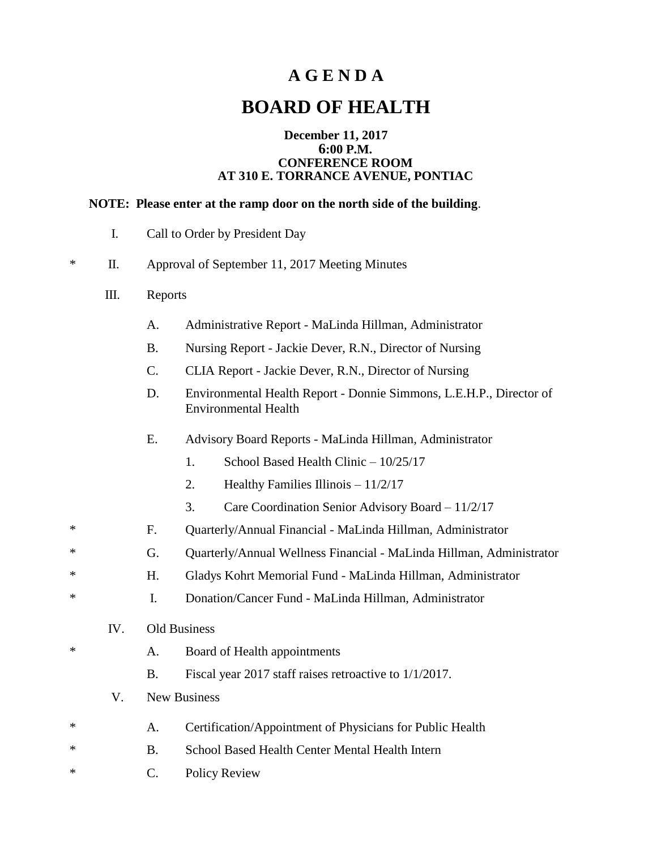## **A G E N D A**

# **BOARD OF HEALTH**

### **December 11, 2017 6:00 P.M. CONFERENCE ROOM AT 310 E. TORRANCE AVENUE, PONTIAC**

#### **NOTE: Please enter at the ramp door on the north side of the building**.

| I.<br>Call to Order by President Day |
|--------------------------------------|
|--------------------------------------|

- \* II. Approval of September 11, 2017 Meeting Minutes
	- III. Reports
		- A. Administrative Report MaLinda Hillman, Administrator
		- B. Nursing Report Jackie Dever, R.N., Director of Nursing
		- C. CLIA Report Jackie Dever, R.N., Director of Nursing
		- D. Environmental Health Report Donnie Simmons, L.E.H.P., Director of Environmental Health
		- E. Advisory Board Reports MaLinda Hillman, Administrator
			- 1. School Based Health Clinic 10/25/17
			- 2. Healthy Families Illinois 11/2/17
			- 3. Care Coordination Senior Advisory Board 11/2/17
- \* F. Quarterly/Annual Financial MaLinda Hillman, Administrator
- \* G. Quarterly/Annual Wellness Financial MaLinda Hillman, Administrator
- \* H. Gladys Kohrt Memorial Fund MaLinda Hillman, Administrator
- \* I. Donation/Cancer Fund MaLinda Hillman, Administrator
	- IV. Old Business
- \* A. Board of Health appointments
	- B. Fiscal year 2017 staff raises retroactive to 1/1/2017.
	- V. New Business
- \* A. Certification/Appointment of Physicians for Public Health
- \* B. School Based Health Center Mental Health Intern
- \* C. Policy Review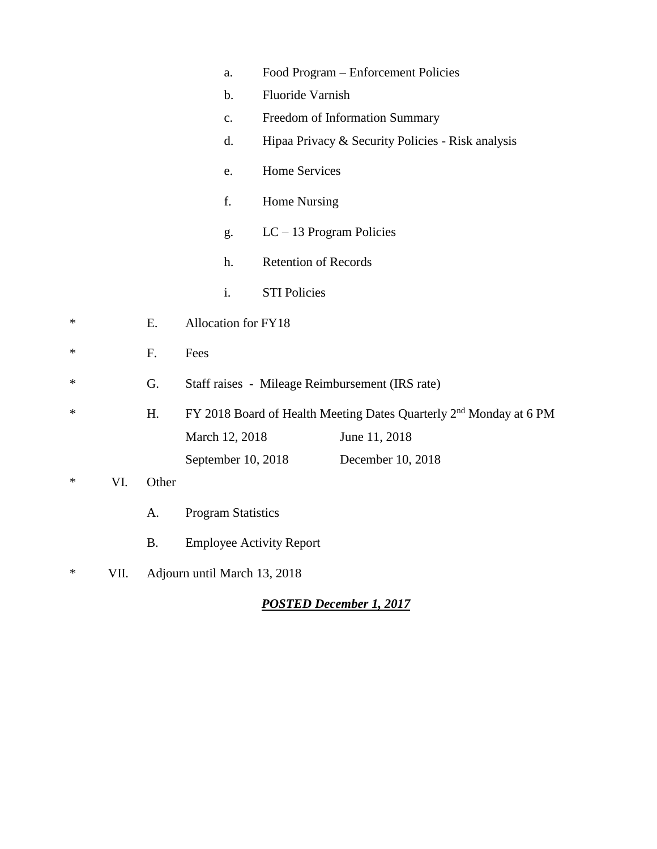|        |      |           | a.                                                                             |                                 | Food Program – Enforcement Policies               |  |  |
|--------|------|-----------|--------------------------------------------------------------------------------|---------------------------------|---------------------------------------------------|--|--|
|        |      |           |                                                                                |                                 |                                                   |  |  |
|        |      |           | $\mathbf b$ .                                                                  | Fluoride Varnish                |                                                   |  |  |
|        |      |           | c.                                                                             |                                 | Freedom of Information Summary                    |  |  |
|        |      |           | d.                                                                             |                                 | Hipaa Privacy & Security Policies - Risk analysis |  |  |
|        |      |           | e.                                                                             | <b>Home Services</b>            |                                                   |  |  |
|        |      |           | f.                                                                             |                                 | Home Nursing                                      |  |  |
|        |      |           | g.                                                                             | $LC - 13$ Program Policies      |                                                   |  |  |
|        |      |           | h.                                                                             | <b>Retention of Records</b>     |                                                   |  |  |
|        |      |           | i.                                                                             | <b>STI Policies</b>             |                                                   |  |  |
| ∗      |      | Ε.        | Allocation for FY18                                                            |                                 |                                                   |  |  |
| ∗      |      | F.        | Fees                                                                           |                                 |                                                   |  |  |
| ∗      |      | G.        |                                                                                |                                 | Staff raises - Mileage Reimbursement (IRS rate)   |  |  |
| ∗      |      | H.        | FY 2018 Board of Health Meeting Dates Quarterly 2 <sup>nd</sup> Monday at 6 PM |                                 |                                                   |  |  |
|        |      |           | March 12, 2018                                                                 |                                 | June 11, 2018                                     |  |  |
|        |      |           | September 10, 2018                                                             |                                 | December 10, 2018                                 |  |  |
| ∗      | VI.  | Other     |                                                                                |                                 |                                                   |  |  |
|        |      | A.        | <b>Program Statistics</b>                                                      |                                 |                                                   |  |  |
|        |      | <b>B.</b> |                                                                                | <b>Employee Activity Report</b> |                                                   |  |  |
| $\ast$ | VII. |           | Adjourn until March 13, 2018                                                   |                                 |                                                   |  |  |

### *POSTED December 1, 2017*